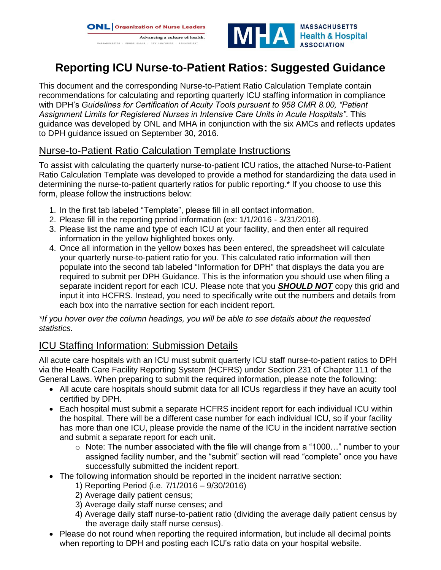



# **Reporting ICU Nurse-to-Patient Ratios: Suggested Guidance**

This document and the corresponding Nurse-to-Patient Ratio Calculation Template contain recommendations for calculating and reporting quarterly ICU staffing information in compliance with DPH's *Guidelines for Certification of Acuity Tools pursuant to 958 CMR 8.00, "Patient Assignment Limits for Registered Nurses in Intensive Care Units in Acute Hospitals"*. This guidance was developed by ONL and MHA in conjunction with the six AMCs and reflects updates to DPH guidance issued on September 30, 2016.

## Nurse-to-Patient Ratio Calculation Template Instructions

To assist with calculating the quarterly nurse-to-patient ICU ratios, the attached Nurse-to-Patient Ratio Calculation Template was developed to provide a method for standardizing the data used in determining the nurse-to-patient quarterly ratios for public reporting.\* If you choose to use this form, please follow the instructions below:

- 1. In the first tab labeled "Template", please fill in all contact information.
- 2. Please fill in the reporting period information (ex: 1/1/2016 3/31/2016).
- 3. Please list the name and type of each ICU at your facility, and then enter all required information in the yellow highlighted boxes only.
- 4. Once all information in the yellow boxes has been entered, the spreadsheet will calculate your quarterly nurse-to-patient ratio for you. This calculated ratio information will then populate into the second tab labeled "Information for DPH" that displays the data you are required to submit per DPH Guidance. This is the information you should use when filing a separate incident report for each ICU. Please note that you *SHOULD NOT* copy this grid and input it into HCFRS. Instead, you need to specifically write out the numbers and details from each box into the narrative section for each incident report.

*\*If you hover over the column headings, you will be able to see details about the requested statistics.*

## ICU Staffing Information: Submission Details

All acute care hospitals with an ICU must submit quarterly ICU staff nurse-to-patient ratios to DPH via the Health Care Facility Reporting System (HCFRS) under Section 231 of Chapter 111 of the General Laws. When preparing to submit the required information, please note the following:

- All acute care hospitals should submit data for all ICUs regardless if they have an acuity tool certified by DPH.
- Each hospital must submit a separate HCFRS incident report for each individual ICU within the hospital. There will be a different case number for each individual ICU, so if your facility has more than one ICU, please provide the name of the ICU in the incident narrative section and submit a separate report for each unit.
	- o Note: The number associated with the file will change from a "1000…" number to your assigned facility number, and the "submit" section will read "complete" once you have successfully submitted the incident report.
- The following information should be reported in the incident narrative section:
	- 1) Reporting Period (i.e. 7/1/2016 9/30/2016)
	- 2) Average daily patient census;
	- 3) Average daily staff nurse censes; and
	- 4) Average daily staff nurse-to-patient ratio (dividing the average daily patient census by the average daily staff nurse census).
- Please do not round when reporting the required information, but include all decimal points when reporting to DPH and posting each ICU's ratio data on your hospital website.